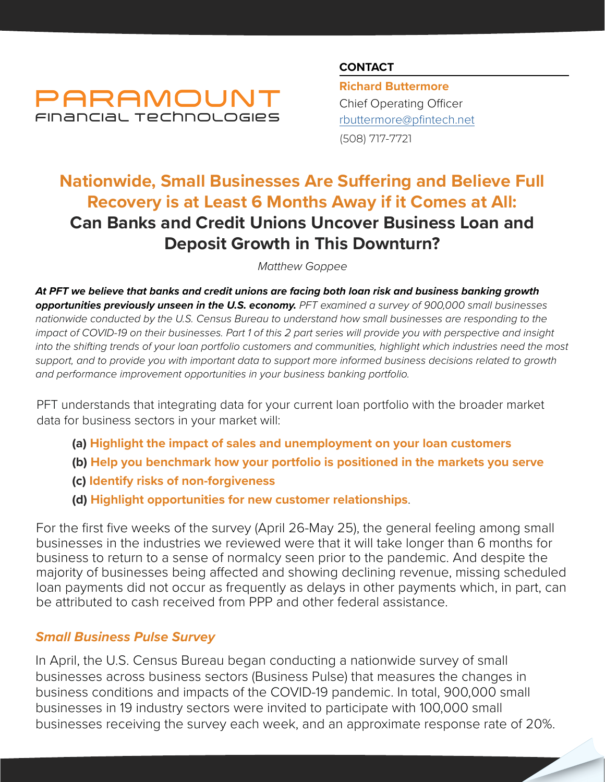

### **CONTACT**

**Richard Buttermore** Chief Operating Officer [rbuttermore@pfintech.net](mailto:rbuttermore%40pfintech.net?subject=Small%20Business%20Pulse%20Article%201) (508) 717-7721

# **Nationwide, Small Businesses Are Suffering and Believe Full Recovery is at Least 6 Months Away if it Comes at All: Can Banks and Credit Unions Uncover Business Loan and Deposit Growth in This Downturn?**

*Matthew Goppee*

*At PFT we believe that banks and credit unions are facing both loan risk and business banking growth opportunities previously unseen in the U.S. economy. PFT examined a survey of 900,000 small businesses nationwide conducted by the U.S. Census Bureau to understand how small businesses are responding to the impact of COVID-19 on their businesses. Part 1 of this 2 part series will provide you with perspective and insight into the shifting trends of your loan portfolio customers and communities, highlight which industries need the most*  support, and to provide you with important data to support more informed business decisions related to growth *and performance improvement opportunities in your business banking portfolio.*

PFT understands that integrating data for your current loan portfolio with the broader market data for business sectors in your market will:

- **(a) Highlight the impact of sales and unemployment on your loan customers**
- **(b) Help you benchmark how your portfolio is positioned in the markets you serve**
- **(c) Identify risks of non-forgiveness**
- **(d) Highlight opportunities for new customer relationships**.

For the first five weeks of the survey (April 26-May 25), the general feeling among small businesses in the industries we reviewed were that it will take longer than 6 months for business to return to a sense of normalcy seen prior to the pandemic. And despite the majority of businesses being affected and showing declining revenue, missing scheduled loan payments did not occur as frequently as delays in other payments which, in part, can be attributed to cash received from PPP and other federal assistance.

## *Small Business Pulse Survey*

In April, the U.S. Census Bureau began conducting a nationwide survey of small businesses across business sectors (Business Pulse) that measures the changes in business conditions and impacts of the COVID-19 pandemic. In total, 900,000 small businesses in 19 industry sectors were invited to participate with 100,000 small businesses receiving the survey each week, and an approximate response rate of 20%.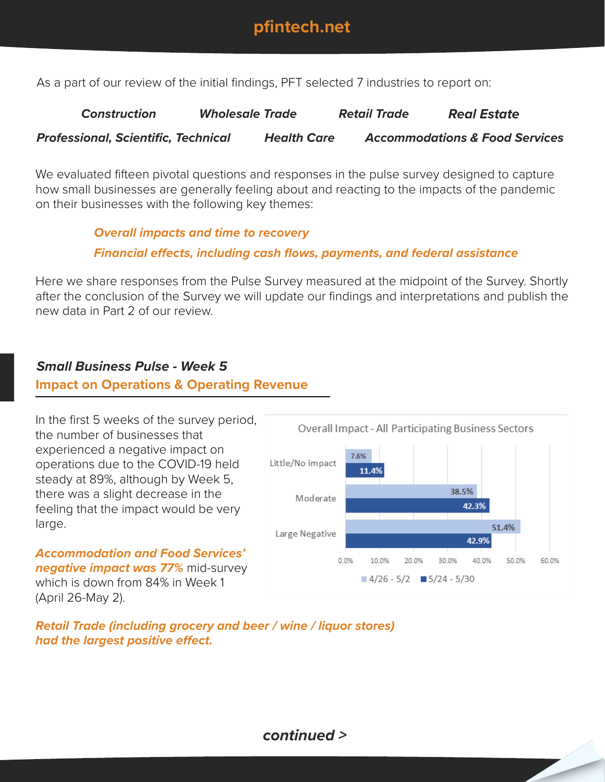

As a part of our review of the initial findings, PFT selected 7 industries to report on:

*Construction Wholesale Trade Retail Trade Real Estate Professional, Scientific, Technical Health Care Accommodations & Food Services*

We evaluated fifteen pivotal questions and responses in the pulse survey designed to capture how small businesses are generally feeling about and reacting to the impacts of the pandemic on their businesses with the following key themes:

> *Overall impacts and time to recovery Financial effects, including cash flows, payments, and federal assistance*

Here we share responses from the Pulse Survey measured at the midpoint of the Survey. Shortly after the conclusion of the Survey we will update our findings and interpretations and publish the new data in Part 2 of our review.

## *Small Business Pulse - Week 5*

### **Impact on Operations & Operating Revenue**

In the first 5 weeks of the survey period, the number of businesses that experienced a negative impact on operations due to the COVID-19 held steady at 89%, although by Week 5, there was a slight decrease in the feeling that the impact would be very large.

*Accommodation and Food Services' negative impact was 77%* mid-survey which is down from 84% in Week 1

(April 26-May 2).



*Retail Trade (including grocery and beer / wine / liquor stores) had the largest positive effect.*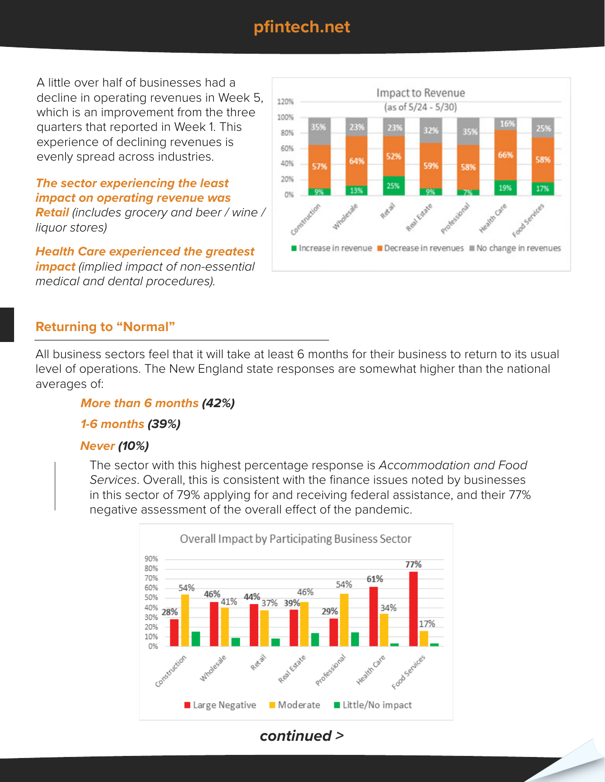## **pfintech.net**

A little over half of businesses had a decline in operating revenues in Week 5, which is an improvement from the three quarters that reported in Week 1. This experience of declining revenues is evenly spread across industries.

*The sector experiencing the least impact on operating revenue was* 

*Retail (includes grocery and beer / wine / liquor stores)*

*Health Care experienced the greatest impact (implied impact of non-essential medical and dental procedures).*



## **Returning to "Normal"**

All business sectors feel that it will take at least 6 months for their business to return to its usual level of operations. The New England state responses are somewhat higher than the national averages of:

#### *More than 6 months (42%)*

#### *1-6 months (39%)*

#### *Never (10%)*

The sector with this highest percentage response is *Accommodation and Food Services*. Overall, this is consistent with the finance issues noted by businesses in this sector of 79% applying for and receiving federal assistance, and their 77% negative assessment of the overall effect of the pandemic.



*continued >*